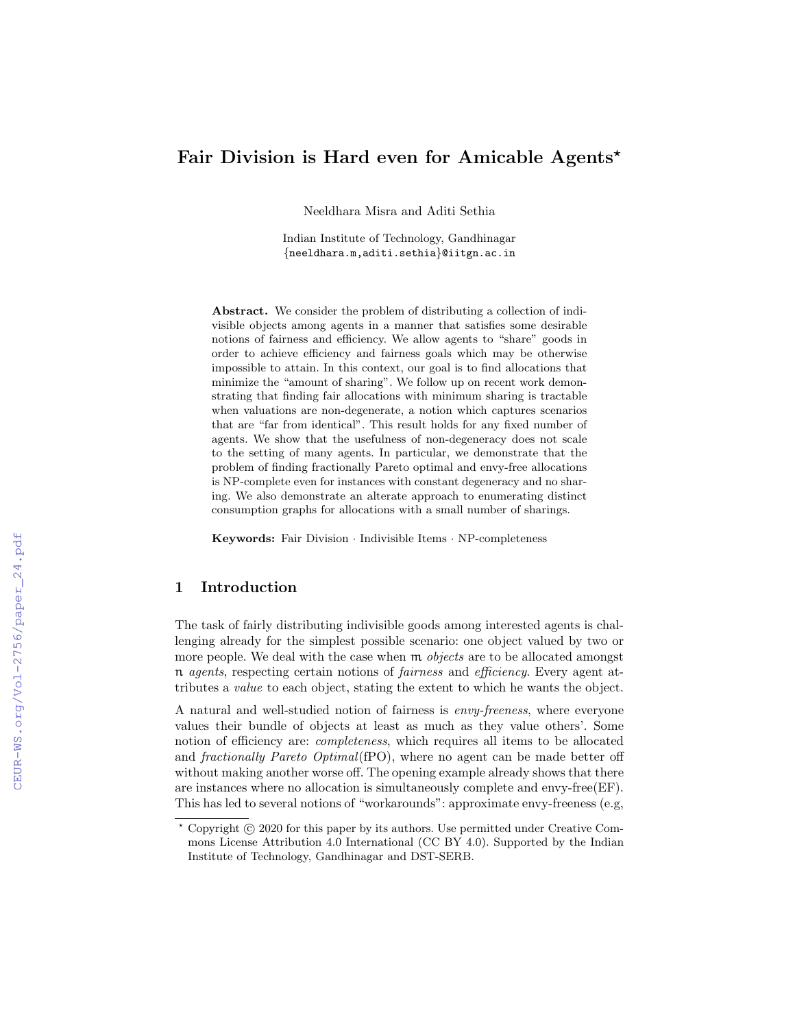# Fair Division is Hard even for Amicable Agents\*

Neeldhara Misra and Aditi Sethia

Indian Institute of Technology, Gandhinagar {neeldhara.m,aditi.sethia}@iitgn.ac.in

Abstract. We consider the problem of distributing a collection of indivisible objects among agents in a manner that satisfies some desirable notions of fairness and efficiency. We allow agents to "share" goods in order to achieve efficiency and fairness goals which may be otherwise impossible to attain. In this context, our goal is to find allocations that minimize the "amount of sharing". We follow up on recent work demonstrating that finding fair allocations with minimum sharing is tractable when valuations are non-degenerate, a notion which captures scenarios that are "far from identical". This result holds for any fixed number of agents. We show that the usefulness of non-degeneracy does not scale to the setting of many agents. In particular, we demonstrate that the problem of finding fractionally Pareto optimal and envy-free allocations is NP-complete even for instances with constant degeneracy and no sharing. We also demonstrate an alterate approach to enumerating distinct consumption graphs for allocations with a small number of sharings.

Keywords: Fair Division · Indivisible Items · NP-completeness

# 1 Introduction

The task of fairly distributing indivisible goods among interested agents is challenging already for the simplest possible scenario: one object valued by two or more people. We deal with the case when  $m$  *objects* are to be allocated amongst n agents, respecting certain notions of fairness and efficiency. Every agent attributes a value to each object, stating the extent to which he wants the object.

A natural and well-studied notion of fairness is envy-freeness, where everyone values their bundle of objects at least as much as they value others'. Some notion of efficiency are: completeness, which requires all items to be allocated and fractionally Pareto Optimal(fPO), where no agent can be made better off without making another worse off. The opening example already shows that there are instances where no allocation is simultaneously complete and envy-free(EF). This has led to several notions of "workarounds": approximate envy-freeness (e.g,

Copyright  $\odot$  2020 for this paper by its authors. Use permitted under Creative Commons License Attribution 4.0 International (CC BY 4.0). Supported by the Indian Institute of Technology, Gandhinagar and DST-SERB.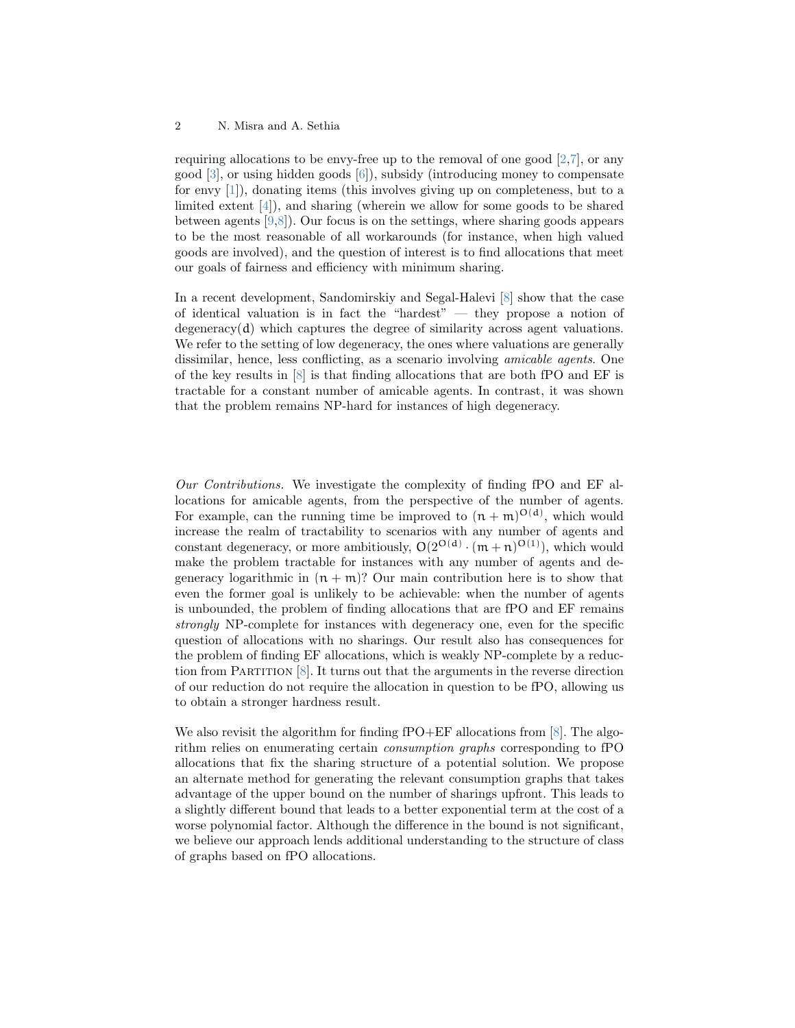#### 2 N. Misra and A. Sethia

requiring allocations to be envy-free up to the removal of one good [\[2](#page-5-0)[,7\]](#page-5-1), or any good [\[3\]](#page-5-2), or using hidden goods [\[6\]](#page-5-3)), subsidy (introducing money to compensate for envy [\[1\]](#page-5-4)), donating items (this involves giving up on completeness, but to a limited extent [\[4\]](#page-5-5)), and sharing (wherein we allow for some goods to be shared between agents [\[9,](#page-5-6)[8\]](#page-5-7)). Our focus is on the settings, where sharing goods appears to be the most reasonable of all workarounds (for instance, when high valued goods are involved), and the question of interest is to find allocations that meet our goals of fairness and efficiency with minimum sharing.

In a recent development, Sandomirskiy and Segal-Halevi [\[8\]](#page-5-7) show that the case of identical valuation is in fact the "hardest" — they propose a notion of degeneracy $(d)$  which captures the degree of similarity across agent valuations. We refer to the setting of low degeneracy, the ones where valuations are generally dissimilar, hence, less conflicting, as a scenario involving *amicable agents*. One of the key results in [\[8\]](#page-5-7) is that finding allocations that are both fPO and EF is tractable for a constant number of amicable agents. In contrast, it was shown that the problem remains NP-hard for instances of high degeneracy.

Our Contributions. We investigate the complexity of finding fPO and EF allocations for amicable agents, from the perspective of the number of agents. For example, can the running time be improved to  $(n + m)^{O(d)}$ , which would increase the realm of tractability to scenarios with any number of agents and constant degeneracy, or more ambitiously,  $O(2^{O(d)} \cdot (m+n)^{O(1)})$ , which would make the problem tractable for instances with any number of agents and degeneracy logarithmic in  $(n + m)$ ? Our main contribution here is to show that even the former goal is unlikely to be achievable: when the number of agents is unbounded, the problem of finding allocations that are fPO and EF remains strongly NP-complete for instances with degeneracy one, even for the specific question of allocations with no sharings. Our result also has consequences for the problem of finding EF allocations, which is weakly NP-complete by a reduction from PARTITION  $[8]$ . It turns out that the arguments in the reverse direction of our reduction do not require the allocation in question to be fPO, allowing us to obtain a stronger hardness result.

We also revisit the algorithm for finding  $fPO+EF$  allocations from [\[8\]](#page-5-7). The algorithm relies on enumerating certain consumption graphs corresponding to fPO allocations that fix the sharing structure of a potential solution. We propose an alternate method for generating the relevant consumption graphs that takes advantage of the upper bound on the number of sharings upfront. This leads to a slightly different bound that leads to a better exponential term at the cost of a worse polynomial factor. Although the difference in the bound is not significant, we believe our approach lends additional understanding to the structure of class of graphs based on fPO allocations.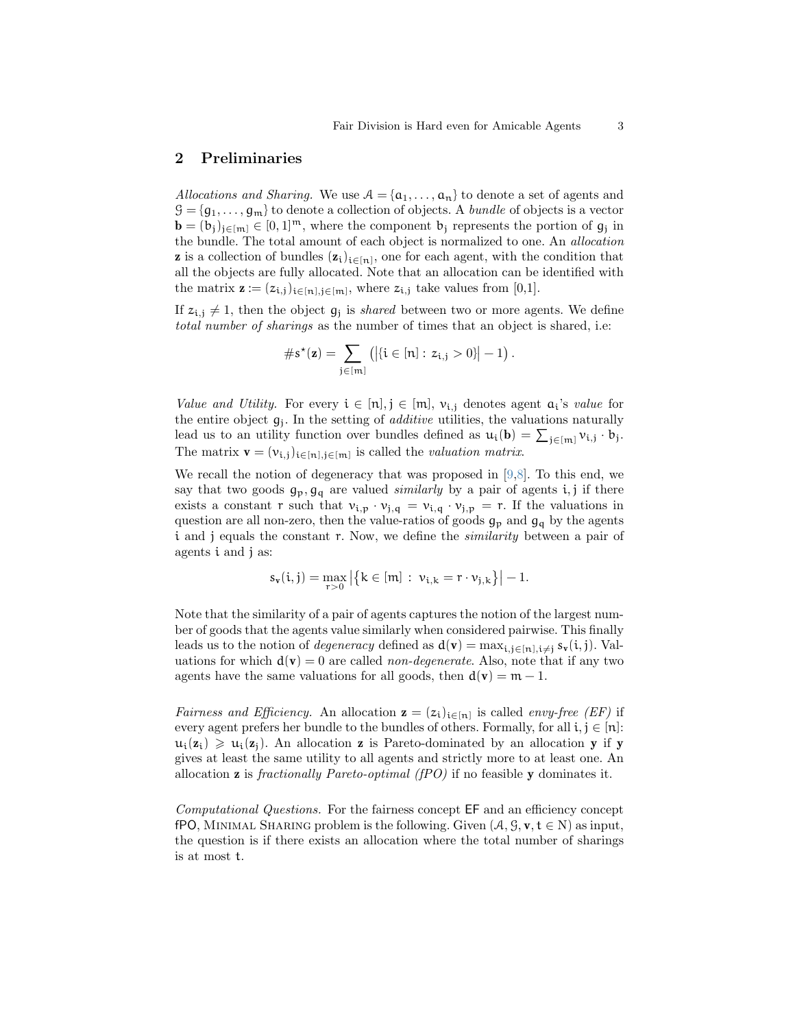### 2 Preliminaries

Allocations and Sharing. We use  $A = {\mathfrak{a}_1, \ldots, \mathfrak{a}_n}$  to denote a set of agents and  $\mathcal{G} = \{q_1, \ldots, q_m\}$  to denote a collection of objects. A *bundle* of objects is a vector  $\mathbf{b} = (b_j)_{j \in [m]} \in [0, 1]^m$ , where the component  $b_j$  represents the portion of  $g_j$  in the bundle. The total amount of each object is normalized to one. An allocation **z** is a collection of bundles  $(z_i)_{i \in [n]}$ , one for each agent, with the condition that all the objects are fully allocated. Note that an allocation can be identified with the matrix  $\mathbf{z} := (z_{i,j})_{i \in [n], j \in [m]}$ , where  $z_{i,j}$  take values from [0,1].

If  $z_{i,j} \neq 1$ , then the object  $g_j$  is *shared* between two or more agents. We define total number of sharings as the number of times that an object is shared, i.e:

$$
\#s^\star(\mathbf{z}) = \sum_{j \in [m]} \left( \left| \{ i \in [n]: \, z_{i,j} > 0 \} \right| - 1 \right).
$$

*Value and Utility.* For every  $i \in [n], j \in [m], v_{i,j}$  denotes agent  $a_i$ 's *value* for the entire object  $g_i$ . In the setting of *additive* utilities, the valuations naturally lead us to an utility function over bundles defined as  $u_i(\mathbf{b}) = \sum_{j \in [m]} v_{i,j} \cdot b_j$ . The matrix  $\mathbf{v} = (v_{i,j})_{i \in [n], j \in [m]}$  is called the *valuation matrix*.

We recall the notion of degeneracy that was proposed in [\[9](#page-5-6)[,8\]](#page-5-7). To this end, we say that two goods  $g_p$ ,  $g_q$  are valued *similarly* by a pair of agents i, j if there exists a constant r such that  $v_{i,p} \cdot v_{j,q} = v_{i,q} \cdot v_{j,p} = r$ . If the valuations in question are all non-zero, then the value-ratios of goods  $g_p$  and  $g_q$  by the agents i and j equals the constant r. Now, we define the similarity between a pair of agents i and j as:

$$
s_{\mathbf{v}}(i,j) = \max_{r > 0} \big| \big\{ k \in [ \mathfrak{m} ] \, : \, \nu_{i,k} = r \cdot \nu_{j,k} \big\} \big| -1.
$$

Note that the similarity of a pair of agents captures the notion of the largest number of goods that the agents value similarly when considered pairwise. This finally leads us to the notion of *degeneracy* defined as  $d(v) = \max_{i,j \in [n], i \neq j} s_v(i,j)$ . Valuations for which  $d(v) = 0$  are called *non-degenerate*. Also, note that if any two agents have the same valuations for all goods, then  $d(\mathbf{v}) = \mathbf{m} - 1$ .

*Fairness and Efficiency*. An allocation  $\mathbf{z} = (z_i)_{i \in [n]}$  is called *envy-free (EF)* if every agent prefers her bundle to the bundles of others. Formally, for all  $i, j \in [n]$ :  $u_i(z_i) \geq u_i(z_i)$ . An allocation z is Pareto-dominated by an allocation y if y gives at least the same utility to all agents and strictly more to at least one. An allocation **z** is *fractionally Pareto-optimal (fPO)* if no feasible **y** dominates it.

Computational Questions. For the fairness concept EF and an efficiency concept fPO, MINIMAL SHARING problem is the following. Given  $(A, \mathcal{G}, \mathbf{v}, \mathbf{t} \in N)$  as input, the question is if there exists an allocation where the total number of sharings is at most t.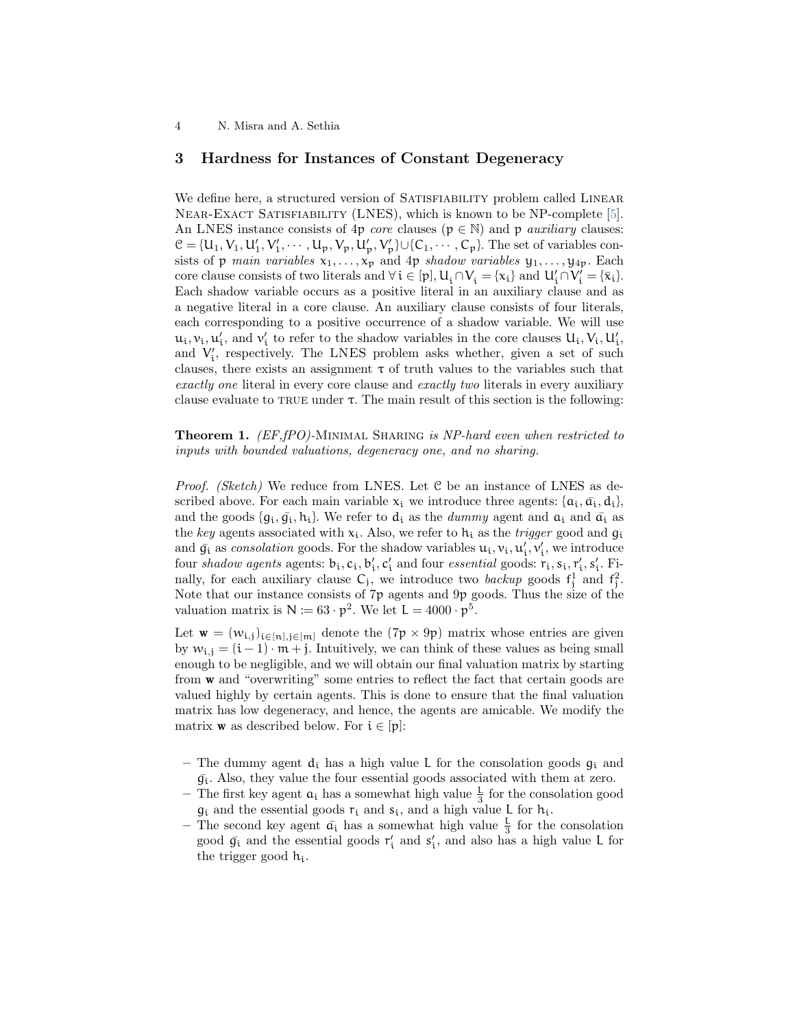4 N. Misra and A. Sethia

## 3 Hardness for Instances of Constant Degeneracy

We define here, a structured version of SATISFIABILITY problem called LINEAR Near-Exact Satisfiability (LNES), which is known to be NP-complete [\[5\]](#page-5-8). An LNES instance consists of 4p *core* clauses ( $p \in \mathbb{N}$ ) and p *auxiliary* clauses:  $\mathcal{C} = \{U_1, V_1, U'_1, V'_1, \cdots, U_p, V_p, U'_p, V'_p\} \cup \{C_1, \cdots, C_p\}$ . The set of variables consists of p main variables  $x_1, \ldots, x_p$  and 4p shadow variables  $y_1, \ldots, y_{4p}$ . Each core clause consists of two literals and  $\forall i \in [p], U_i \cap V_i = \{x_i\}$  and  $U'_i \cap V'_i = \{\bar{x}_i\}.$ Each shadow variable occurs as a positive literal in an auxiliary clause and as a negative literal in a core clause. An auxiliary clause consists of four literals, each corresponding to a positive occurrence of a shadow variable. We will use  $u_i, v_i, u'_i$ , and  $v'_i$  to refer to the shadow variables in the core clauses  $U_i, V_i, U'_i$ , and  $V'_i$ , respectively. The LNES problem asks whether, given a set of such clauses, there exists an assignment  $\tau$  of truth values to the variables such that exactly one literal in every core clause and exactly two literals in every auxiliary clause evaluate to TRUE under  $\tau$ . The main result of this section is the following:

**Theorem 1.** (EF,fPO)-MINIMAL SHARING is NP-hard even when restricted to inputs with bounded valuations, degeneracy one, and no sharing.

*Proof.* (Sketch) We reduce from LNES. Let  $C$  be an instance of LNES as described above. For each main variable  $x_i$  we introduce three agents:  $\{a_i, \bar{a_i}, d_i\}$ , and the goods  $\{q_i, \bar{q}_i, h_i\}$ . We refer to  $d_i$  as the *dummy* agent and  $\bar{a}_i$  and  $\bar{a}_i$  as the key agents associated with  $x_i$ . Also, we refer to  $h_i$  as the *trigger* good and  $q_i$ and  $\bar{g}_i$  as consolation goods. For the shadow variables  $u_i, v_i, u'_i, v'_i$ , we introduce four *shadow agents* agents:  $b_i$ ,  $c_i$ ,  $b'_i$ ,  $c'_i$  and four *essential* goods:  $r_i$ ,  $s_i$ ,  $r'_i$ ,  $s'_i$ . Finally, for each auxiliary clause  $C_j$ , we introduce two *backup* goods  $f_j^1$  and  $f_j^2$ . Note that our instance consists of  $7p$  agents and  $9p$  goods. Thus the size of the valuation matrix is  $N := 63 \cdot p^2$ . We let  $L = 4000 \cdot p^5$ .

Let  $\mathbf{w} = (w_{i,j})_{i \in [n], j \in [m]}$  denote the  $(7p \times 9p)$  matrix whose entries are given by  $w_{i,j} = (i-1) \cdot m + j$ . Intuitively, we can think of these values as being small enough to be negligible, and we will obtain our final valuation matrix by starting from w and "overwriting" some entries to reflect the fact that certain goods are valued highly by certain agents. This is done to ensure that the final valuation matrix has low degeneracy, and hence, the agents are amicable. We modify the matrix **w** as described below. For  $i \in [p]$ :

- The dummy agent  $d_i$  has a high value L for the consolation goods  $g_i$  and  $\bar{g_i}$ . Also, they value the four essential goods associated with them at zero.
- The first key agent  $a_i$  has a somewhat high value  $\frac{1}{3}$  for the consolation good  $g_i$  and the essential goods  $r_i$  and  $s_i$ , and a high value L for  $h_i$ .
- The second key agent  $\bar{a_i}$  has a somewhat high value  $\frac{1}{3}$  for the consolation good  $\bar{g}_i$  and the essential goods  $r'_i$  and  $s'_i$ , and also has a high value L for the trigger good  $h_i$ .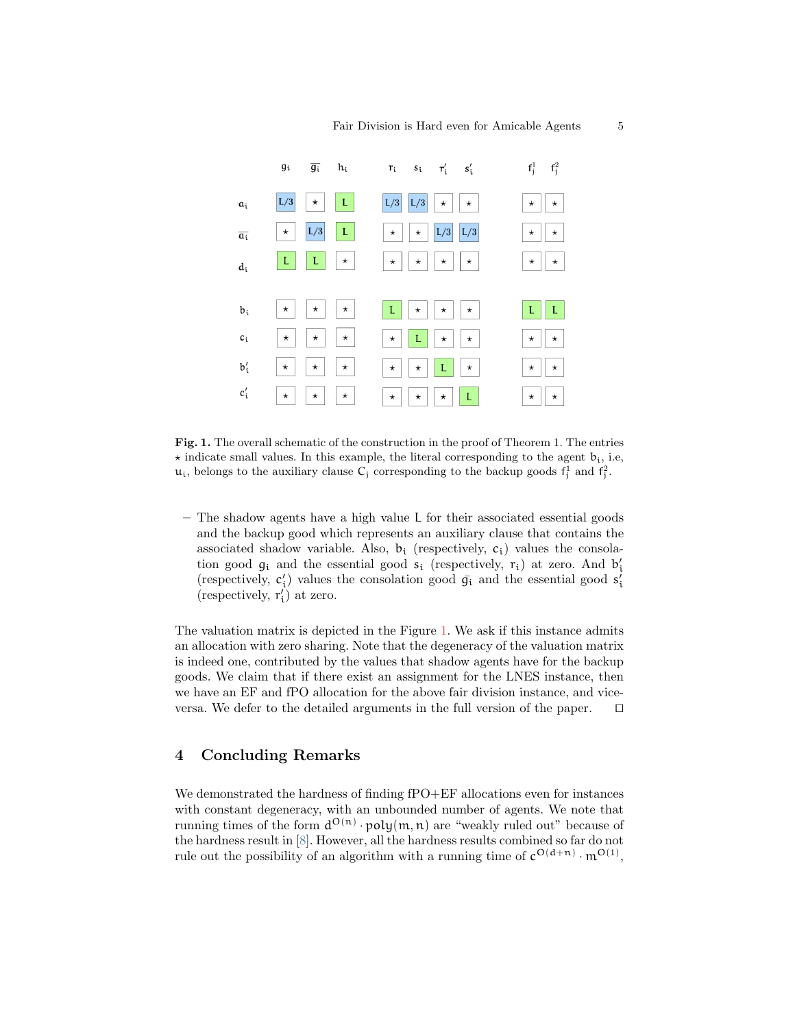

<span id="page-4-0"></span>Fig. 1. The overall schematic of the construction in the proof of Theorem 1. The entries  $\star$  indicate small values. In this example, the literal corresponding to the agent  $b_i$ , i.e,  $u_i$ , belongs to the auxiliary clause  $C_j$  corresponding to the backup goods  $f_j^1$  and  $f_j^2$ .

– The shadow agents have a high value L for their associated essential goods and the backup good which represents an auxiliary clause that contains the associated shadow variable. Also,  $b_i$  (respectively,  $c_i$ ) values the consolation good  $g_i$  and the essential good  $s_i$  (respectively,  $r_i$ ) at zero. And  $b'_i$ (respectively,  $\mathbf{c}'_i$ ) values the consolation good  $\bar{\mathbf{g}_i}$  and the essential good  $\mathbf{s}'_i$ (respectively,  $r'_i$ ) at zero.

The valuation matrix is depicted in the Figure [1.](#page-4-0) We ask if this instance admits an allocation with zero sharing. Note that the degeneracy of the valuation matrix is indeed one, contributed by the values that shadow agents have for the backup goods. We claim that if there exist an assignment for the LNES instance, then we have an EF and fPO allocation for the above fair division instance, and viceversa. We defer to the detailed arguments in the full version of the paper.  $\square$ 

# 4 Concluding Remarks

We demonstrated the hardness of finding fPO+EF allocations even for instances with constant degeneracy, with an unbounded number of agents. We note that running times of the form  $d^{O(n)} \cdot \text{poly}(m, n)$  are "weakly ruled out" because of the hardness result in [\[8\]](#page-5-7). However, all the hardness results combined so far do not rule out the possibility of an algorithm with a running time of  $c^{O(d+n)} \cdot m^{O(1)}$ ,